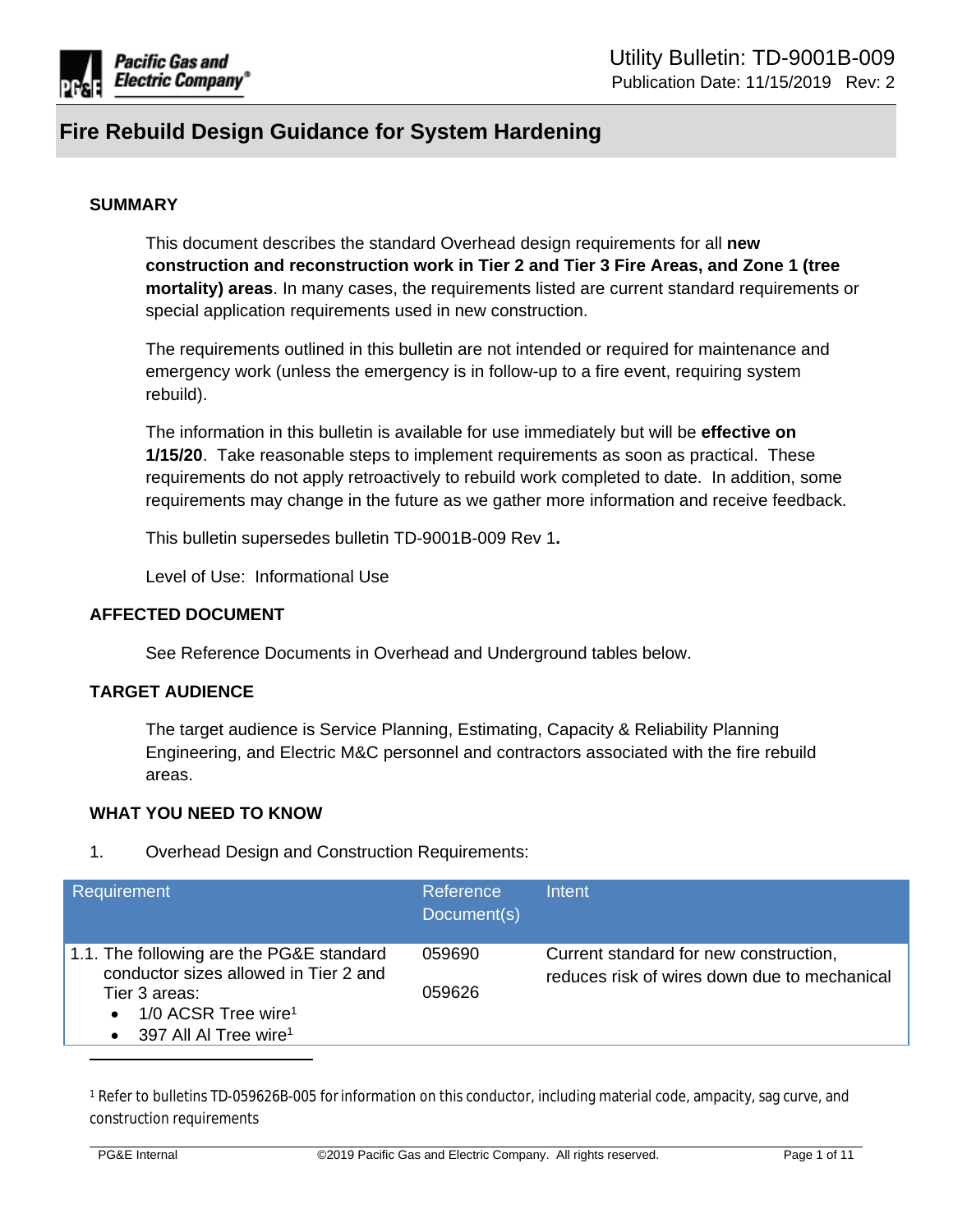

#### **SUMMARY**

This document describes the standard Overhead design requirements for all **new construction and reconstruction work in Tier 2 and Tier 3 Fire Areas, and Zone 1 (tree mortality) areas**. In many cases, the requirements listed are current standard requirements or special application requirements used in new construction.

The requirements outlined in this bulletin are not intended or required for maintenance and emergency work (unless the emergency is in follow-up to a fire event, requiring system rebuild).

The information in this bulletin is available for use immediately but will be **effective on 1/15/20**. Take reasonable steps to implement requirements as soon as practical. These requirements do not apply retroactively to rebuild work completed to date. In addition, some requirements may change in the future as we gather more information and receive feedback.

This bulletin supersedes bulletin TD-9001B-009 Rev 1**.**

Level of Use: Informational Use

#### **AFFECTED DOCUMENT**

See Reference Documents in Overhead and Underground tables below.

#### **TARGET AUDIENCE**

The target audience is Service Planning, Estimating, Capacity & Reliability Planning Engineering, and Electric M&C personnel and contractors associated with the fire rebuild areas.

#### **WHAT YOU NEED TO KNOW**

1. Overhead Design and Construction Requirements:

| Requirement                                                                                                                                                                                          | Reference<br>Document(s) | Intent                                                                                 |
|------------------------------------------------------------------------------------------------------------------------------------------------------------------------------------------------------|--------------------------|----------------------------------------------------------------------------------------|
| 1.1. The following are the PG&E standard<br>conductor sizes allowed in Tier 2 and<br>Tier 3 areas:<br>1/0 ACSR Tree wire <sup>1</sup><br>$\bullet$<br>397 All Al Tree wire <sup>1</sup><br>$\bullet$ | 059690<br>059626         | Current standard for new construction,<br>reduces risk of wires down due to mechanical |

1 Refer to bulletins TD-059626B-005 forinformation on this conductor, including material code, ampacity, sag curve, and construction requirements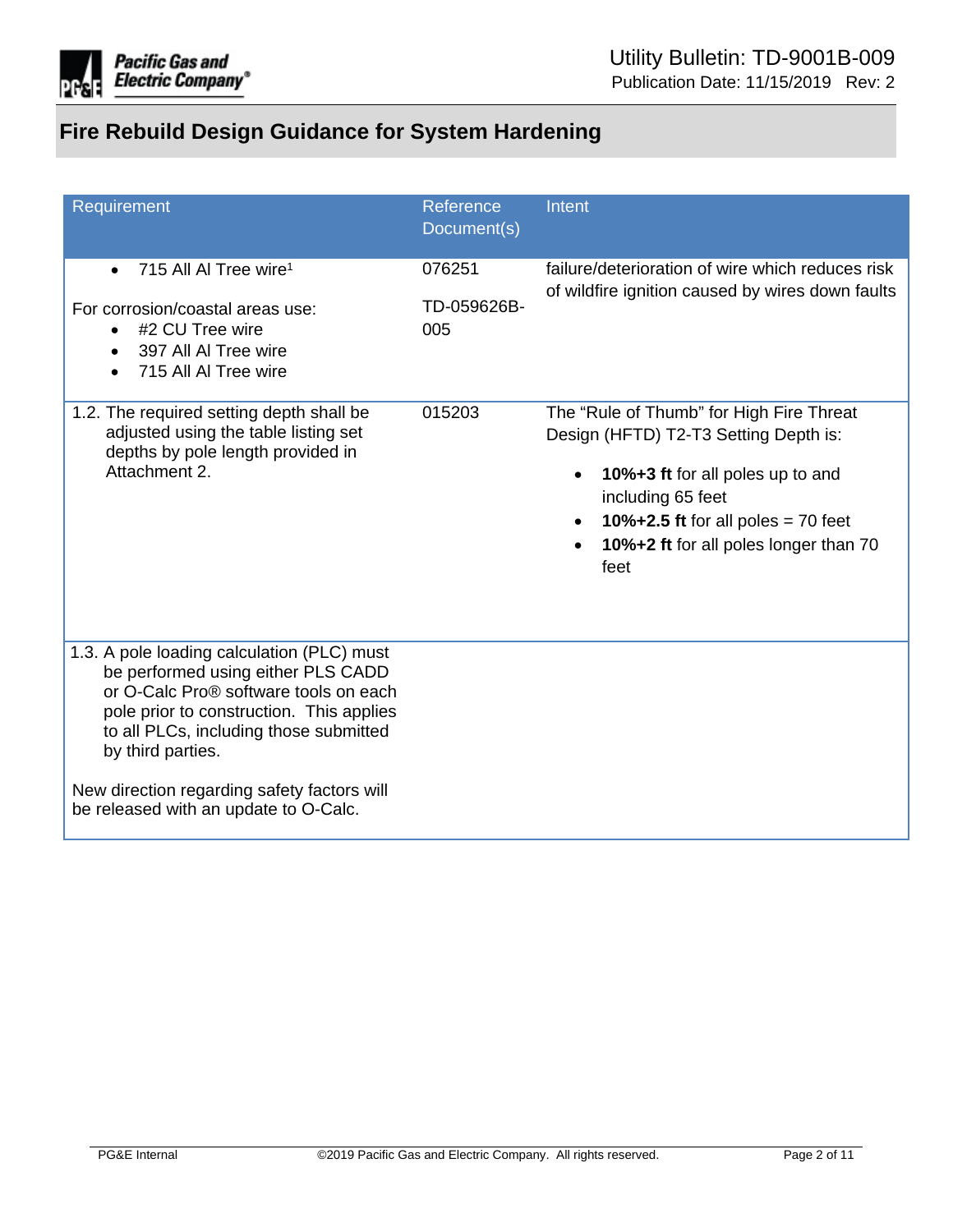

| Requirement                                                                                                                                                                                                                                                                                                                  | Reference<br>Document(s)     | Intent                                                                                                                                                                                                                                            |
|------------------------------------------------------------------------------------------------------------------------------------------------------------------------------------------------------------------------------------------------------------------------------------------------------------------------------|------------------------------|---------------------------------------------------------------------------------------------------------------------------------------------------------------------------------------------------------------------------------------------------|
| 715 All Al Tree wire <sup>1</sup><br>$\bullet$<br>For corrosion/coastal areas use:<br>#2 CU Tree wire<br>$\bullet$<br>397 All Al Tree wire<br>$\bullet$<br>715 All Al Tree wire                                                                                                                                              | 076251<br>TD-059626B-<br>005 | failure/deterioration of wire which reduces risk<br>of wildfire ignition caused by wires down faults                                                                                                                                              |
| 1.2. The required setting depth shall be<br>adjusted using the table listing set<br>depths by pole length provided in<br>Attachment 2.                                                                                                                                                                                       | 015203                       | The "Rule of Thumb" for High Fire Threat<br>Design (HFTD) T2-T3 Setting Depth is:<br>10%+3 ft for all poles up to and<br>$\bullet$<br>including 65 feet<br>10% $+2.5$ ft for all poles = 70 feet<br>10%+2 ft for all poles longer than 70<br>feet |
| 1.3. A pole loading calculation (PLC) must<br>be performed using either PLS CADD<br>or O-Calc Pro® software tools on each<br>pole prior to construction. This applies<br>to all PLCs, including those submitted<br>by third parties.<br>New direction regarding safety factors will<br>be released with an update to O-Calc. |                              |                                                                                                                                                                                                                                                   |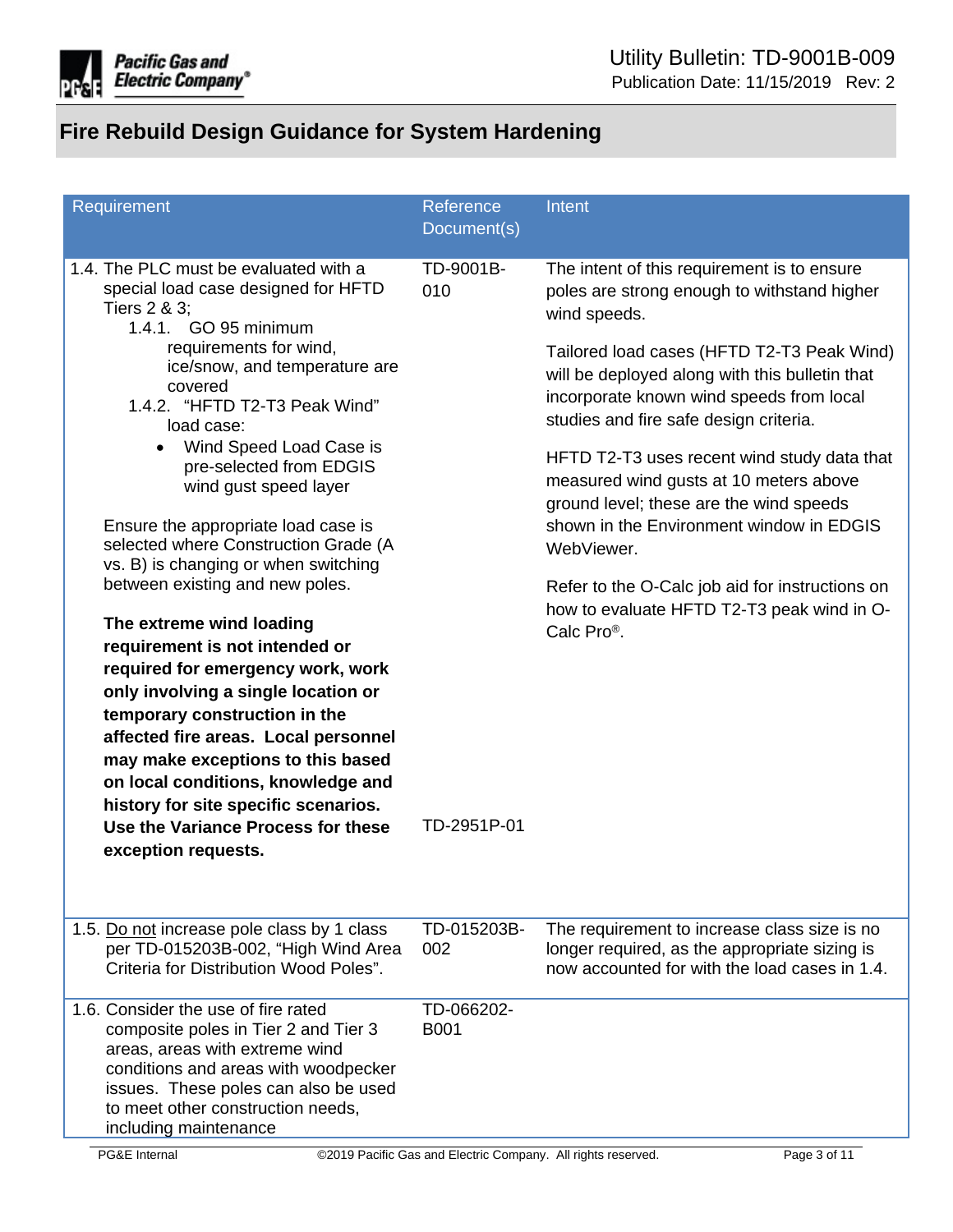

| Requirement                                                                                                                                                                                                                                                                                                                                                                                                                                                                                                                                                                                                                                                                                                                                                                                                                                                                                        | Reference<br>Document(s)        | Intent                                                                                                                                                                                                                                                                                                                                                                                                                                                                                                                                                                                                                     |
|----------------------------------------------------------------------------------------------------------------------------------------------------------------------------------------------------------------------------------------------------------------------------------------------------------------------------------------------------------------------------------------------------------------------------------------------------------------------------------------------------------------------------------------------------------------------------------------------------------------------------------------------------------------------------------------------------------------------------------------------------------------------------------------------------------------------------------------------------------------------------------------------------|---------------------------------|----------------------------------------------------------------------------------------------------------------------------------------------------------------------------------------------------------------------------------------------------------------------------------------------------------------------------------------------------------------------------------------------------------------------------------------------------------------------------------------------------------------------------------------------------------------------------------------------------------------------------|
| 1.4. The PLC must be evaluated with a<br>special load case designed for HFTD<br>Tiers 2 & 3;<br>1.4.1. GO 95 minimum<br>requirements for wind,<br>ice/snow, and temperature are<br>covered<br>1.4.2. "HFTD T2-T3 Peak Wind"<br>load case:<br>Wind Speed Load Case is<br>$\bullet$<br>pre-selected from EDGIS<br>wind gust speed layer<br>Ensure the appropriate load case is<br>selected where Construction Grade (A<br>vs. B) is changing or when switching<br>between existing and new poles.<br>The extreme wind loading<br>requirement is not intended or<br>required for emergency work, work<br>only involving a single location or<br>temporary construction in the<br>affected fire areas. Local personnel<br>may make exceptions to this based<br>on local conditions, knowledge and<br>history for site specific scenarios.<br>Use the Variance Process for these<br>exception requests. | TD-9001B-<br>010<br>TD-2951P-01 | The intent of this requirement is to ensure<br>poles are strong enough to withstand higher<br>wind speeds.<br>Tailored load cases (HFTD T2-T3 Peak Wind)<br>will be deployed along with this bulletin that<br>incorporate known wind speeds from local<br>studies and fire safe design criteria.<br>HFTD T2-T3 uses recent wind study data that<br>measured wind gusts at 10 meters above<br>ground level; these are the wind speeds<br>shown in the Environment window in EDGIS<br>WebViewer.<br>Refer to the O-Calc job aid for instructions on<br>how to evaluate HFTD T2-T3 peak wind in O-<br>Calc Pro <sup>®</sup> . |
| 1.5. Do not increase pole class by 1 class<br>per TD-015203B-002, "High Wind Area<br>Criteria for Distribution Wood Poles".                                                                                                                                                                                                                                                                                                                                                                                                                                                                                                                                                                                                                                                                                                                                                                        | TD-015203B-<br>002              | The requirement to increase class size is no<br>longer required, as the appropriate sizing is<br>now accounted for with the load cases in 1.4.                                                                                                                                                                                                                                                                                                                                                                                                                                                                             |
| 1.6. Consider the use of fire rated<br>composite poles in Tier 2 and Tier 3<br>areas, areas with extreme wind<br>conditions and areas with woodpecker<br>issues. These poles can also be used<br>to meet other construction needs,<br>including maintenance                                                                                                                                                                                                                                                                                                                                                                                                                                                                                                                                                                                                                                        | TD-066202-<br><b>B001</b>       |                                                                                                                                                                                                                                                                                                                                                                                                                                                                                                                                                                                                                            |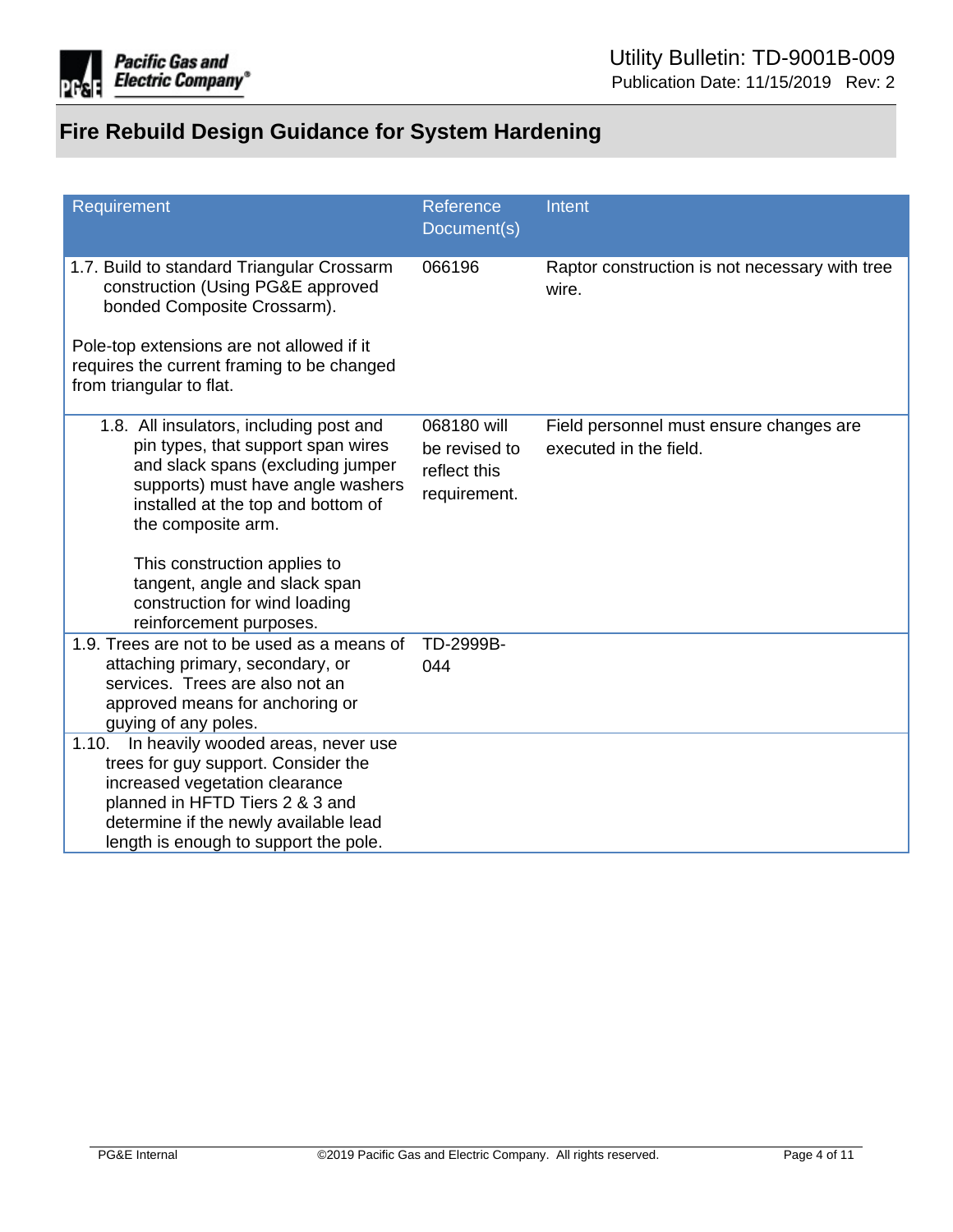

| Requirement                                                                                                                                                                                                                                                                                                           | Reference<br>Document(s)                                     | Intent                                                            |
|-----------------------------------------------------------------------------------------------------------------------------------------------------------------------------------------------------------------------------------------------------------------------------------------------------------------------|--------------------------------------------------------------|-------------------------------------------------------------------|
| 1.7. Build to standard Triangular Crossarm<br>construction (Using PG&E approved<br>bonded Composite Crossarm).<br>Pole-top extensions are not allowed if it<br>requires the current framing to be changed<br>from triangular to flat.                                                                                 | 066196                                                       | Raptor construction is not necessary with tree<br>wire.           |
| 1.8. All insulators, including post and<br>pin types, that support span wires<br>and slack spans (excluding jumper<br>supports) must have angle washers<br>installed at the top and bottom of<br>the composite arm.<br>This construction applies to<br>tangent, angle and slack span<br>construction for wind loading | 068180 will<br>be revised to<br>reflect this<br>requirement. | Field personnel must ensure changes are<br>executed in the field. |
| reinforcement purposes.<br>1.9. Trees are not to be used as a means of<br>attaching primary, secondary, or<br>services. Trees are also not an                                                                                                                                                                         | TD-2999B-<br>044                                             |                                                                   |
| approved means for anchoring or<br>guying of any poles.                                                                                                                                                                                                                                                               |                                                              |                                                                   |
| In heavily wooded areas, never use<br>1.10.<br>trees for guy support. Consider the<br>increased vegetation clearance<br>planned in HFTD Tiers 2 & 3 and<br>determine if the newly available lead<br>length is enough to support the pole.                                                                             |                                                              |                                                                   |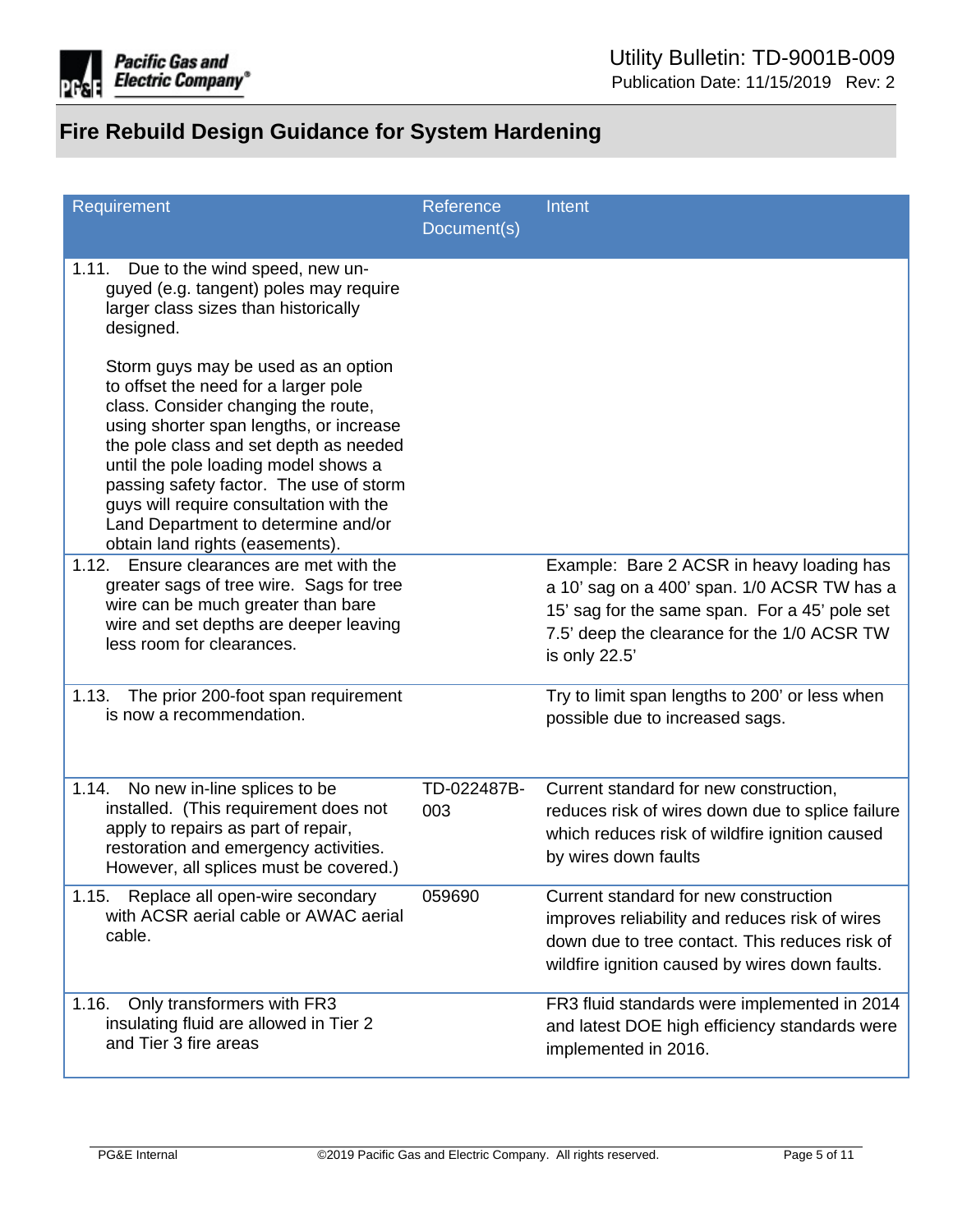

| Requirement                                                                                                                                                                                                                                                                                                                                                                                                     | Reference<br>Document(s) | Intent                                                                                                                                                                                                    |
|-----------------------------------------------------------------------------------------------------------------------------------------------------------------------------------------------------------------------------------------------------------------------------------------------------------------------------------------------------------------------------------------------------------------|--------------------------|-----------------------------------------------------------------------------------------------------------------------------------------------------------------------------------------------------------|
| 1.11.<br>Due to the wind speed, new un-<br>guyed (e.g. tangent) poles may require<br>larger class sizes than historically<br>designed.                                                                                                                                                                                                                                                                          |                          |                                                                                                                                                                                                           |
| Storm guys may be used as an option<br>to offset the need for a larger pole<br>class. Consider changing the route,<br>using shorter span lengths, or increase<br>the pole class and set depth as needed<br>until the pole loading model shows a<br>passing safety factor. The use of storm<br>guys will require consultation with the<br>Land Department to determine and/or<br>obtain land rights (easements). |                          |                                                                                                                                                                                                           |
| Ensure clearances are met with the<br>1.12.<br>greater sags of tree wire. Sags for tree<br>wire can be much greater than bare<br>wire and set depths are deeper leaving<br>less room for clearances.                                                                                                                                                                                                            |                          | Example: Bare 2 ACSR in heavy loading has<br>a 10' sag on a 400' span. 1/0 ACSR TW has a<br>15' sag for the same span. For a 45' pole set<br>7.5' deep the clearance for the 1/0 ACSR TW<br>is only 22.5' |
| 1.13.<br>The prior 200-foot span requirement<br>is now a recommendation.                                                                                                                                                                                                                                                                                                                                        |                          | Try to limit span lengths to 200' or less when<br>possible due to increased sags.                                                                                                                         |
| No new in-line splices to be<br>1.14.<br>installed. (This requirement does not<br>apply to repairs as part of repair,<br>restoration and emergency activities.<br>However, all splices must be covered.)                                                                                                                                                                                                        | TD-022487B-<br>003       | Current standard for new construction,<br>reduces risk of wires down due to splice failure<br>which reduces risk of wildfire ignition caused<br>by wires down faults                                      |
| Replace all open-wire secondary<br>1.15.<br>with ACSR aerial cable or AWAC aerial<br>cable.                                                                                                                                                                                                                                                                                                                     | 059690                   | Current standard for new construction<br>improves reliability and reduces risk of wires<br>down due to tree contact. This reduces risk of<br>wildfire ignition caused by wires down faults.               |
| 1.16.<br>Only transformers with FR3<br>insulating fluid are allowed in Tier 2<br>and Tier 3 fire areas                                                                                                                                                                                                                                                                                                          |                          | FR3 fluid standards were implemented in 2014<br>and latest DOE high efficiency standards were<br>implemented in 2016.                                                                                     |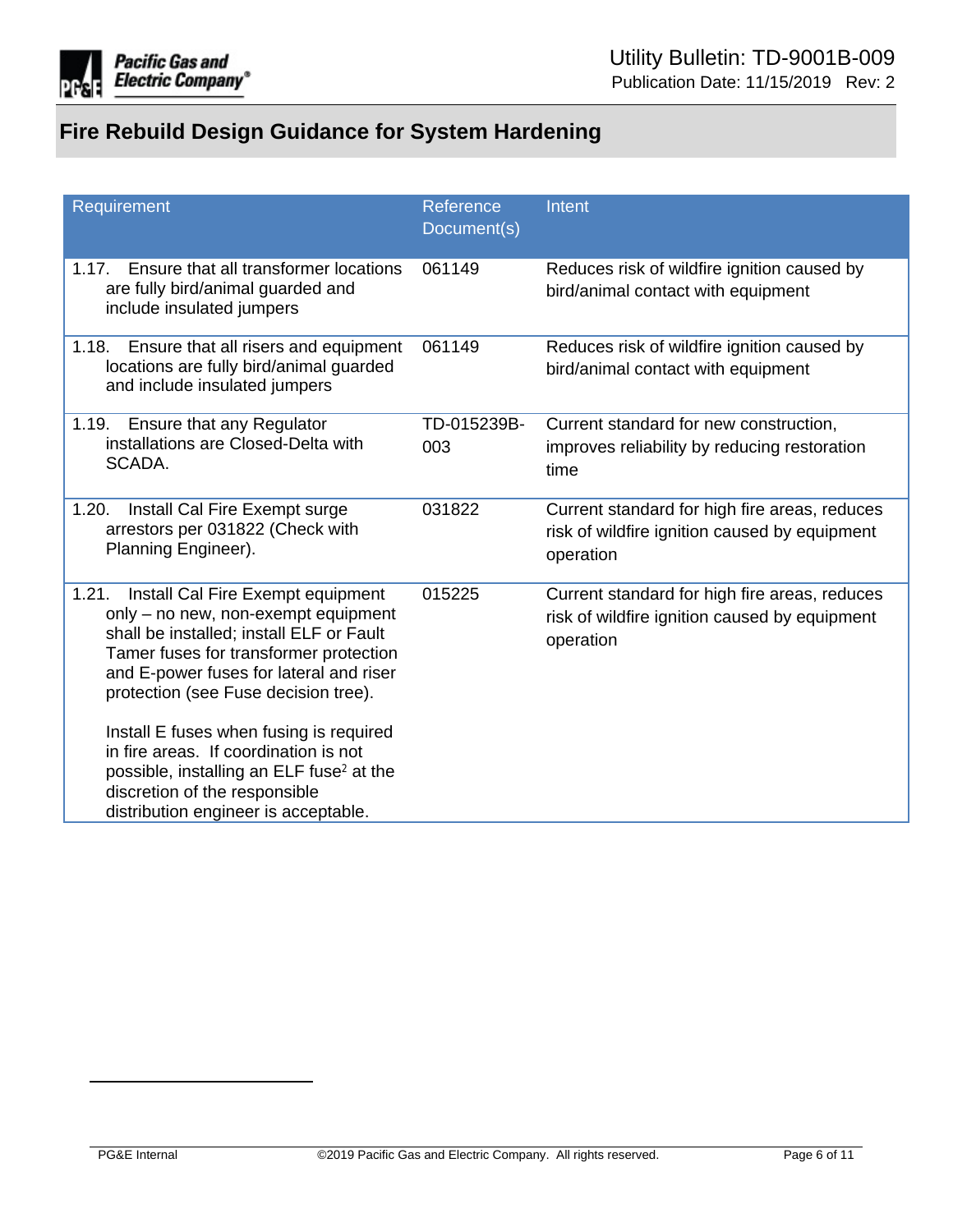

| Requirement                                                                                                                                                                                                                                                | Reference<br>Document(s) | Intent                                                                                                      |
|------------------------------------------------------------------------------------------------------------------------------------------------------------------------------------------------------------------------------------------------------------|--------------------------|-------------------------------------------------------------------------------------------------------------|
| Ensure that all transformer locations<br>1.17.<br>are fully bird/animal guarded and<br>include insulated jumpers                                                                                                                                           | 061149                   | Reduces risk of wildfire ignition caused by<br>bird/animal contact with equipment                           |
| 1.18.<br>Ensure that all risers and equipment<br>locations are fully bird/animal guarded<br>and include insulated jumpers                                                                                                                                  | 061149                   | Reduces risk of wildfire ignition caused by<br>bird/animal contact with equipment                           |
| Ensure that any Regulator<br>1.19.<br>installations are Closed-Delta with<br>SCADA.                                                                                                                                                                        | TD-015239B-<br>003       | Current standard for new construction,<br>improves reliability by reducing restoration<br>time              |
| Install Cal Fire Exempt surge<br>1.20.<br>arrestors per 031822 (Check with<br>Planning Engineer).                                                                                                                                                          | 031822                   | Current standard for high fire areas, reduces<br>risk of wildfire ignition caused by equipment<br>operation |
| Install Cal Fire Exempt equipment<br>1.21.<br>only - no new, non-exempt equipment<br>shall be installed; install ELF or Fault<br>Tamer fuses for transformer protection<br>and E-power fuses for lateral and riser<br>protection (see Fuse decision tree). | 015225                   | Current standard for high fire areas, reduces<br>risk of wildfire ignition caused by equipment<br>operation |
| Install E fuses when fusing is required<br>in fire areas. If coordination is not<br>possible, installing an ELF fuse <sup>2</sup> at the<br>discretion of the responsible<br>distribution engineer is acceptable.                                          |                          |                                                                                                             |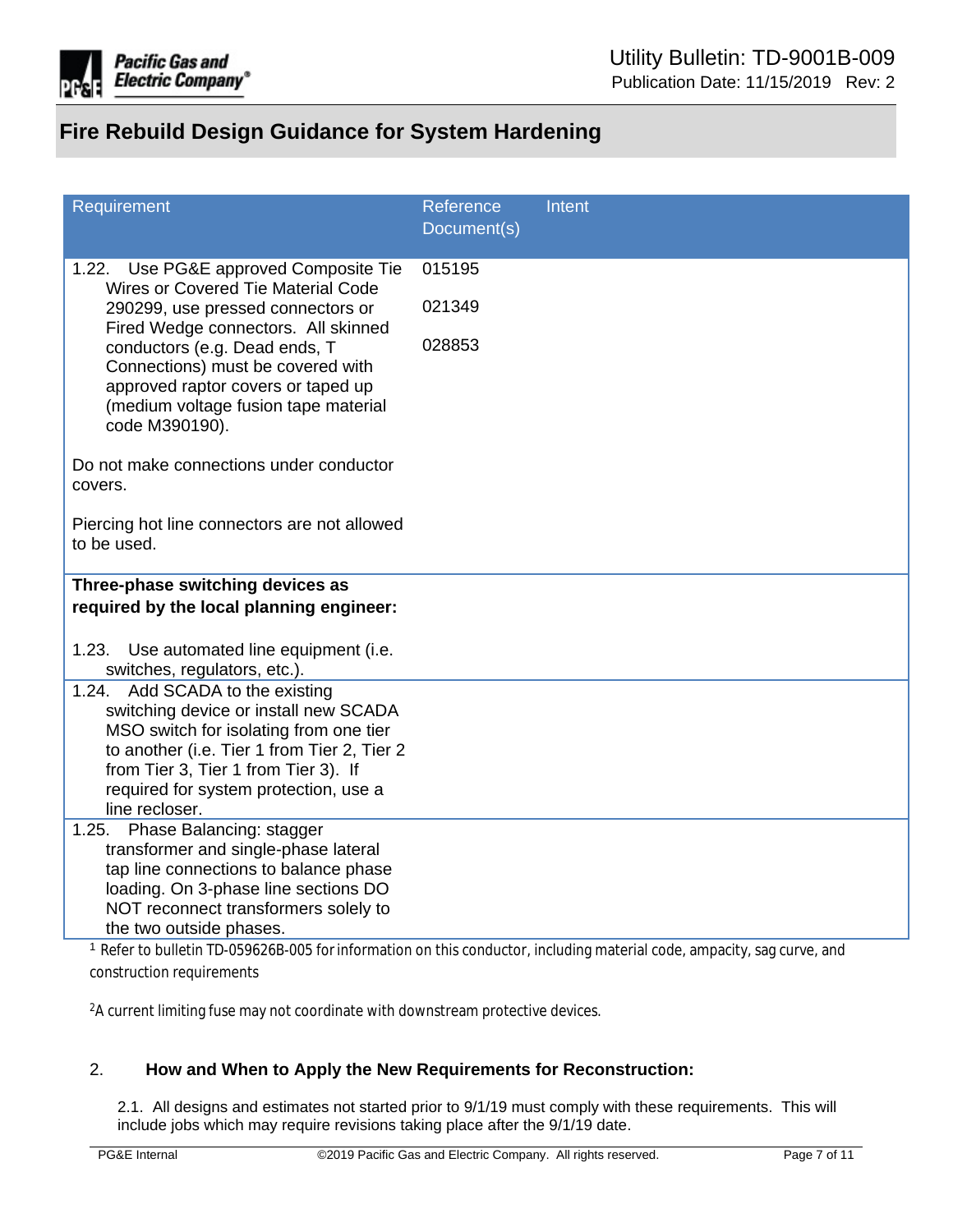

| Requirement                                                                                                                                                        | Reference   | Intent |
|--------------------------------------------------------------------------------------------------------------------------------------------------------------------|-------------|--------|
|                                                                                                                                                                    | Document(s) |        |
| Use PG&E approved Composite Tie<br>1.22.<br>Wires or Covered Tie Material Code                                                                                     | 015195      |        |
| 290299, use pressed connectors or<br>Fired Wedge connectors. All skinned                                                                                           | 021349      |        |
| conductors (e.g. Dead ends, T<br>Connections) must be covered with<br>approved raptor covers or taped up<br>(medium voltage fusion tape material<br>code M390190). | 028853      |        |
| Do not make connections under conductor<br>covers.                                                                                                                 |             |        |
| Piercing hot line connectors are not allowed<br>to be used.                                                                                                        |             |        |
| Three-phase switching devices as                                                                                                                                   |             |        |
| required by the local planning engineer:                                                                                                                           |             |        |
|                                                                                                                                                                    |             |        |
| 1.23. Use automated line equipment (i.e.<br>switches, regulators, etc.).                                                                                           |             |        |
| 1.24. Add SCADA to the existing                                                                                                                                    |             |        |
| switching device or install new SCADA                                                                                                                              |             |        |
| MSO switch for isolating from one tier                                                                                                                             |             |        |
| to another (i.e. Tier 1 from Tier 2, Tier 2<br>from Tier 3, Tier 1 from Tier 3). If                                                                                |             |        |
| required for system protection, use a                                                                                                                              |             |        |
| line recloser.                                                                                                                                                     |             |        |
| Phase Balancing: stagger<br>1.25.                                                                                                                                  |             |        |
| transformer and single-phase lateral                                                                                                                               |             |        |
| tap line connections to balance phase                                                                                                                              |             |        |
| loading. On 3-phase line sections DO                                                                                                                               |             |        |
| NOT reconnect transformers solely to<br>the two outside phases.                                                                                                    |             |        |
| <sup>1</sup> Refer to bulletin TD-059626B-005 for information on this conductor, including material code, ampacity, sag curve, and                                 |             |        |

construction requirements

<sup>2</sup>A current limiting fuse may not coordinate with downstream protective devices.

### 2. **How and When to Apply the New Requirements for Reconstruction:**

2.1. All designs and estimates not started prior to 9/1/19 must comply with these requirements. This will include jobs which may require revisions taking place after the 9/1/19 date.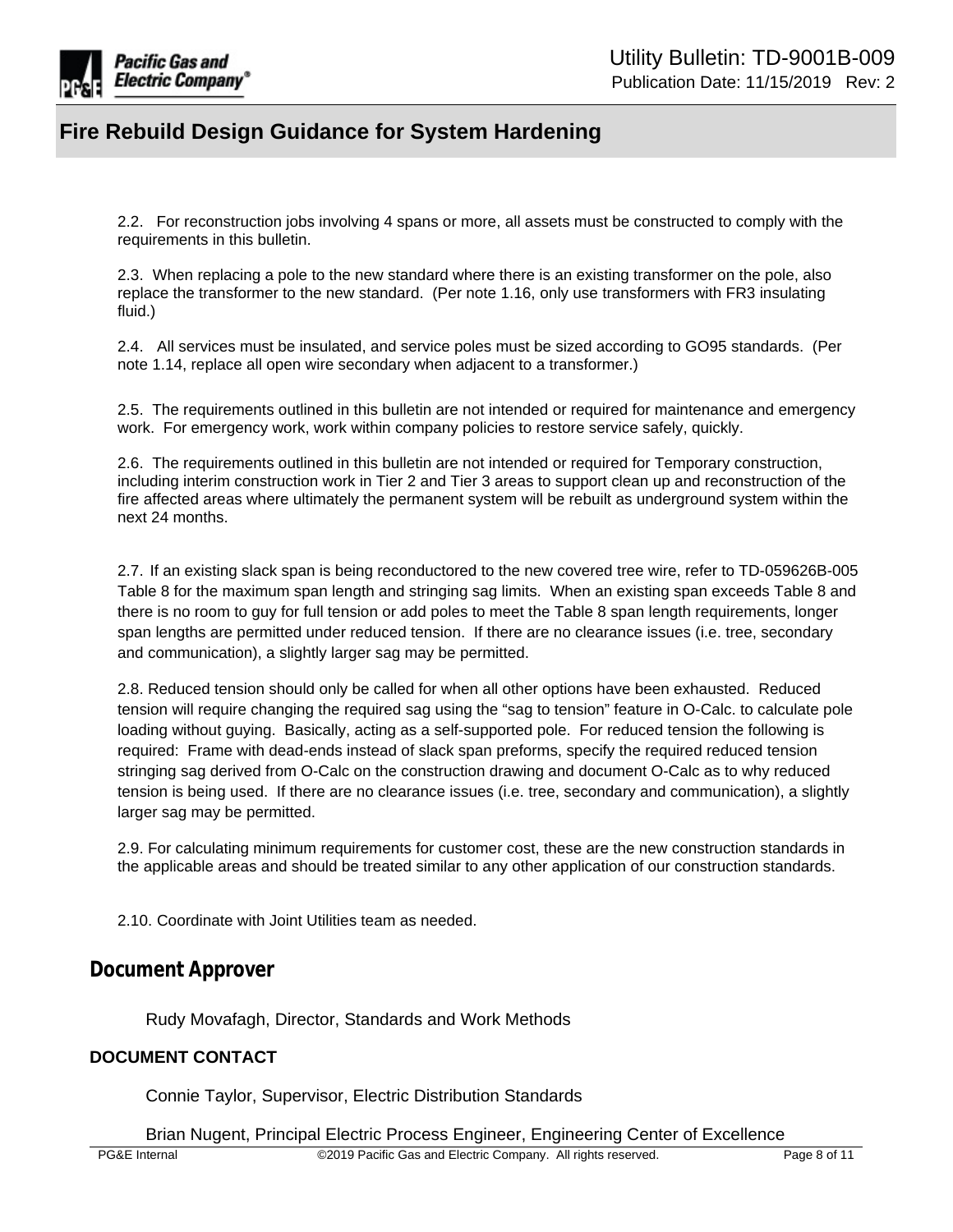

2.2. For reconstruction jobs involving 4 spans or more, all assets must be constructed to comply with the requirements in this bulletin.

2.3. When replacing a pole to the new standard where there is an existing transformer on the pole, also replace the transformer to the new standard. (Per note 1.16, only use transformers with FR3 insulating fluid.)

2.4. All services must be insulated, and service poles must be sized according to GO95 standards. (Per note 1.14, replace all open wire secondary when adjacent to a transformer.)

2.5. The requirements outlined in this bulletin are not intended or required for maintenance and emergency work. For emergency work, work within company policies to restore service safely, quickly.

2.6. The requirements outlined in this bulletin are not intended or required for Temporary construction, including interim construction work in Tier 2 and Tier 3 areas to support clean up and reconstruction of the fire affected areas where ultimately the permanent system will be rebuilt as underground system within the next 24 months.

2.7. If an existing slack span is being reconductored to the new covered tree wire, refer to TD-059626B-005 Table 8 for the maximum span length and stringing sag limits. When an existing span exceeds Table 8 and there is no room to guy for full tension or add poles to meet the Table 8 span length requirements, longer span lengths are permitted under reduced tension. If there are no clearance issues (i.e. tree, secondary and communication), a slightly larger sag may be permitted.

2.8. Reduced tension should only be called for when all other options have been exhausted. Reduced tension will require changing the required sag using the "sag to tension" feature in O-Calc. to calculate pole loading without guying. Basically, acting as a self-supported pole. For reduced tension the following is required: Frame with dead-ends instead of slack span preforms, specify the required reduced tension stringing sag derived from O-Calc on the construction drawing and document O-Calc as to why reduced tension is being used. If there are no clearance issues (i.e. tree, secondary and communication), a slightly larger sag may be permitted.

2.9. For calculating minimum requirements for customer cost, these are the new construction standards in the applicable areas and should be treated similar to any other application of our construction standards.

2.10. Coordinate with Joint Utilities team as needed.

### **Document Approver**

Rudy Movafagh, Director, Standards and Work Methods

### **DOCUMENT CONTACT**

Connie Taylor, Supervisor, Electric Distribution Standards

Brian Nugent, Principal Electric Process Engineer, Engineering Center of Excellence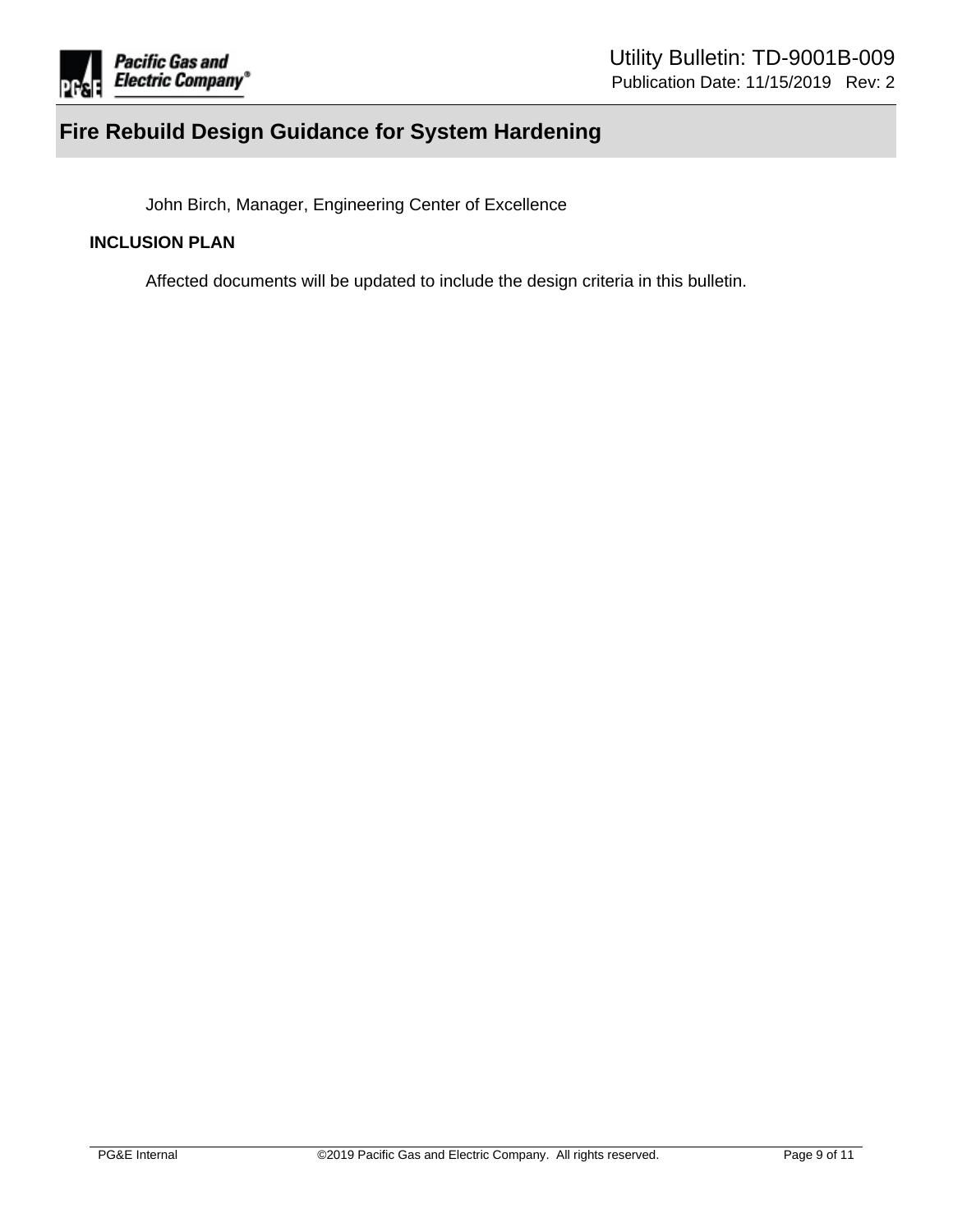

John Birch, Manager, Engineering Center of Excellence

### **INCLUSION PLAN**

Affected documents will be updated to include the design criteria in this bulletin.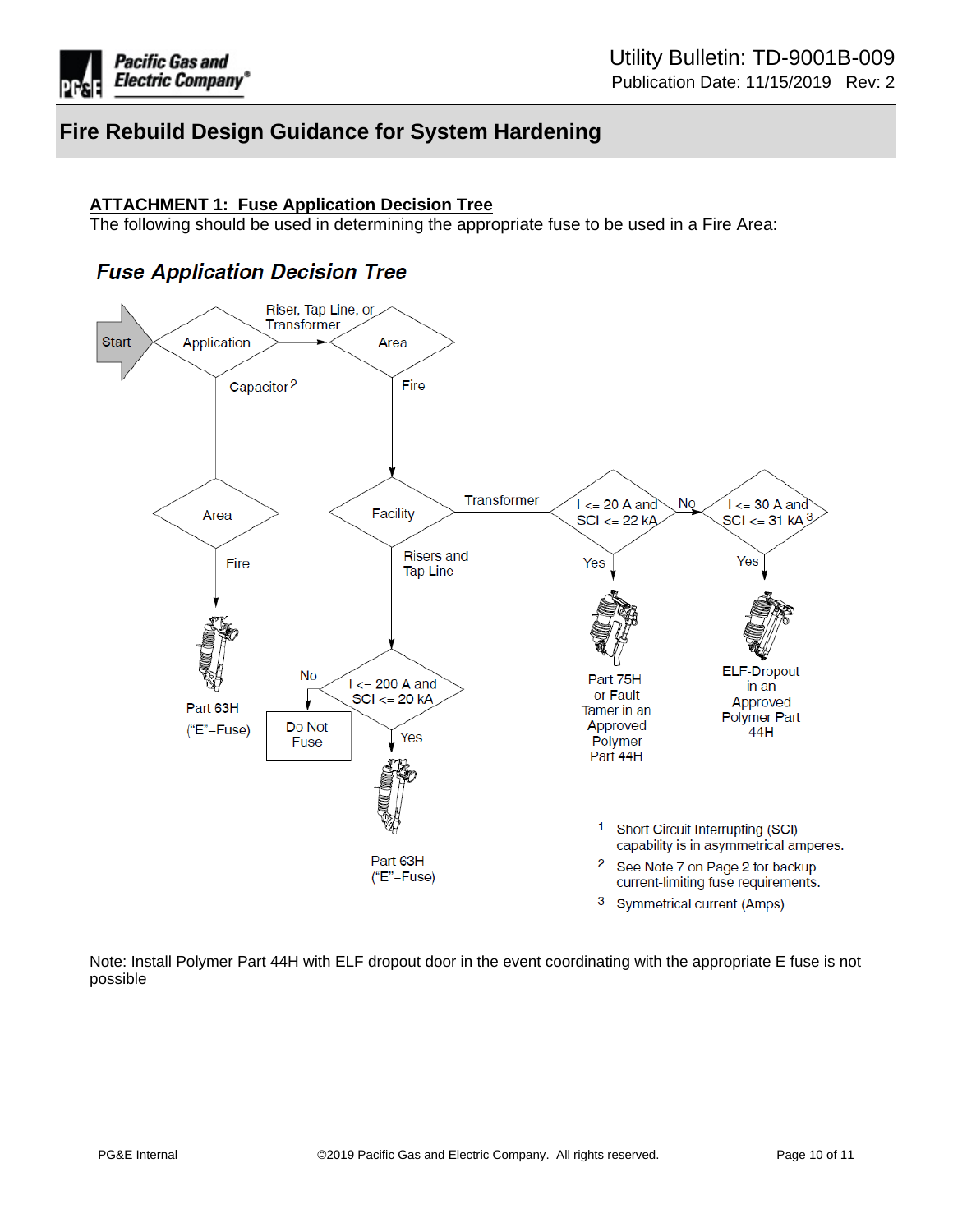

#### **ATTACHMENT 1: Fuse Application Decision Tree**

The following should be used in determining the appropriate fuse to be used in a Fire Area:

## **Fuse Application Decision Tree**



Note: Install Polymer Part 44H with ELF dropout door in the event coordinating with the appropriate E fuse is not possible